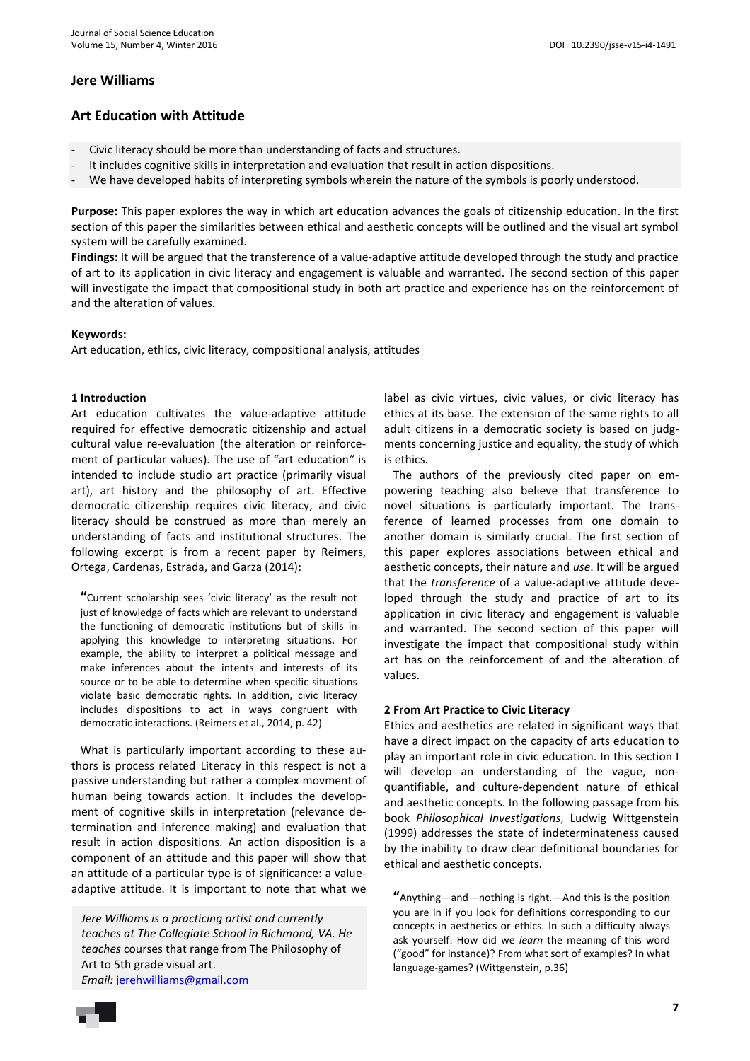# **Jere Williams**

# **Art Education with Attitude**

- Civic literacy should be more than understanding of facts and structures.
- It includes cognitive skills in interpretation and evaluation that result in action dispositions.
- We have developed habits of interpreting symbols wherein the nature of the symbols is poorly understood.

**Purpose:** This paper explores the way in which art education advances the goals of citizenship education. In the first section of this paper the similarities between ethical and aesthetic concepts will be outlined and the visual art symbol system will be carefully examined.

**Findings:** It will be argued that the transference of a value-adaptive attitude developed through the study and practice of art to its application in civic literacy and engagement is valuable and warranted. The second section of this paper will investigate the impact that compositional study in both art practice and experience has on the reinforcement of and the alteration of values.

### **Keywords:**

Art education, ethics, civic literacy, compositional analysis, attitudes

## **1 Introduction**

Art education cultivates the value-adaptive attitude required for effective democratic citizenship and actual cultural value re-evaluation (the alteration or reinforcement of particular values). The use of "art education*"* is intended to include studio art practice (primarily visual art), art history and the philosophy of art. Effective democratic citizenship requires civic literacy, and civic literacy should be construed as more than merely an understanding of facts and institutional structures. The following excerpt is from a recent paper by Reimers, Ortega, Cardenas, Estrada, and Garza (2014):

**"**Current scholarship sees 'civic literacy' as the result not just of knowledge of facts which are relevant to understand the functioning of democratic institutions but of skills in applying this knowledge to interpreting situations. For example, the ability to interpret a political message and make inferences about the intents and interests of its source or to be able to determine when specific situations violate basic democratic rights. In addition, civic literacy includes dispositions to act in ways congruent with democratic interactions. (Reimers et al., 2014, p. 42)

What is particularly important according to these authors is process related Literacy in this respect is not a passive understanding but rather a complex movment of human being towards action. It includes the development of cognitive skills in interpretation (relevance determination and inference making) and evaluation that result in action dispositions. An action disposition is a component of an attitude and this paper will show that an attitude of a particular type is of significance: a valueadaptive attitude. It is important to note that what we

*Jere Williams is a practicing artist and currently teaches at The Collegiate School in Richmond, VA. He teaches* courses that range from The Philosophy of Art to 5th grade visual art. *Email:* jerehwilliams@gmail.com

label as civic virtues, civic values, or civic literacy has ethics at its base. The extension of the same rights to all adult citizens in a democratic society is based on judgments concerning justice and equality, the study of which is ethics.

The authors of the previously cited paper on empowering teaching also believe that transference to novel situations is particularly important. The transference of learned processes from one domain to another domain is similarly crucial. The first section of this paper explores associations between ethical and aesthetic concepts, their nature and *use*. It will be argued that the *transference* of a value-adaptive attitude developed through the study and practice of art to its application in civic literacy and engagement is valuable and warranted. The second section of this paper will investigate the impact that compositional study within art has on the reinforcement of and the alteration of values.

#### **2 From Art Practice to Civic Literacy**

Ethics and aesthetics are related in significant ways that have a direct impact on the capacity of arts education to play an important role in civic education. In this section I will develop an understanding of the vague, nonquantifiable, and culture-dependent nature of ethical and aesthetic concepts. In the following passage from his book *Philosophical Investigations*, Ludwig Wittgenstein (1999) addresses the state of indeterminateness caused by the inability to draw clear definitional boundaries for ethical and aesthetic concepts.

**"**Anything—and—nothing is right.—And this is the position you are in if you look for definitions corresponding to our concepts in aesthetics or ethics. In such a difficulty always ask yourself: How did we *learn* the meaning of this word ("good" for instance)? From what sort of examples? In what language-games? (Wittgenstein, p.36)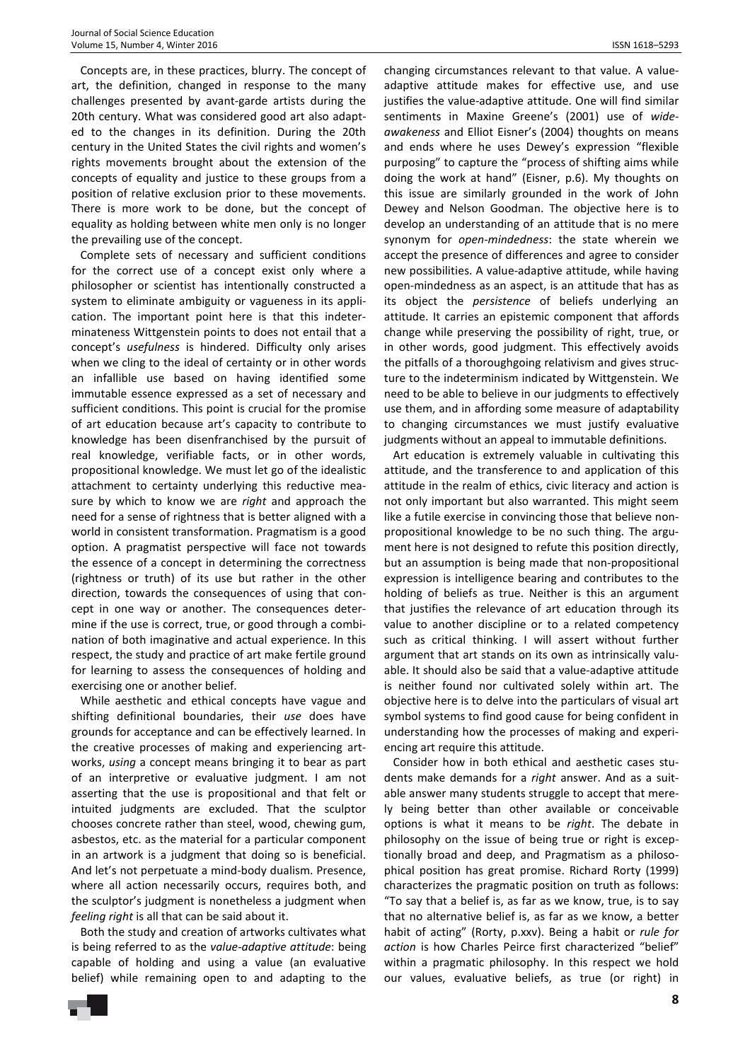Concepts are, in these practices, blurry. The concept of art, the definition, changed in response to the many challenges presented by avant-garde artists during the 20th century. What was considered good art also adapted to the changes in its definition. During the 20th century in the United States the civil rights and women's rights movements brought about the extension of the concepts of equality and justice to these groups from a position of relative exclusion prior to these movements. There is more work to be done, but the concept of equality as holding between white men only is no longer the prevailing use of the concept.

Complete sets of necessary and sufficient conditions for the correct use of a concept exist only where a philosopher or scientist has intentionally constructed a system to eliminate ambiguity or vagueness in its application. The important point here is that this indeterminateness Wittgenstein points to does not entail that a concept's *usefulness* is hindered. Difficulty only arises when we cling to the ideal of certainty or in other words an infallible use based on having identified some immutable essence expressed as a set of necessary and sufficient conditions. This point is crucial for the promise of art education because art's capacity to contribute to knowledge has been disenfranchised by the pursuit of real knowledge, verifiable facts, or in other words, propositional knowledge. We must let go of the idealistic attachment to certainty underlying this reductive measure by which to know we are *right* and approach the need for a sense of rightness that is better aligned with a world in consistent transformation. Pragmatism is a good option. A pragmatist perspective will face not towards the essence of a concept in determining the correctness (rightness or truth) of its use but rather in the other direction, towards the consequences of using that concept in one way or another. The consequences determine if the use is correct, true, or good through a combination of both imaginative and actual experience. In this respect, the study and practice of art make fertile ground for learning to assess the consequences of holding and exercising one or another belief.

While aesthetic and ethical concepts have vague and shifting definitional boundaries, their *use* does have grounds for acceptance and can be effectively learned. In the creative processes of making and experiencing artworks, *using* a concept means bringing it to bear as part of an interpretive or evaluative judgment. I am not asserting that the use is propositional and that felt or intuited judgments are excluded. That the sculptor chooses concrete rather than steel, wood, chewing gum, asbestos, etc. as the material for a particular component in an artwork is a judgment that doing so is beneficial. And let's not perpetuate a mind-body dualism. Presence, where all action necessarily occurs, requires both, and the sculptor's judgment is nonetheless a judgment when *feeling right* is all that can be said about it.

Both the study and creation of artworks cultivates what is being referred to as the *value-adaptive attitude*: being capable of holding and using a value (an evaluative belief) while remaining open to and adapting to the

changing circumstances relevant to that value. A valueadaptive attitude makes for effective use, and use justifies the value-adaptive attitude. One will find similar sentiments in Maxine Greene's (2001) use of *wideawakeness* and Elliot Eisner's (2004) thoughts on means and ends where he uses Dewey's expression "flexible purposing" to capture the "process of shifting aims while doing the work at hand" (Eisner, p.6). My thoughts on this issue are similarly grounded in the work of John Dewey and Nelson Goodman. The objective here is to develop an understanding of an attitude that is no mere synonym for *open-mindedness*: the state wherein we accept the presence of differences and agree to consider new possibilities. A value-adaptive attitude, while having open-mindedness as an aspect, is an attitude that has as its object the *persistence* of beliefs underlying an attitude. It carries an epistemic component that affords change while preserving the possibility of right, true, or in other words, good judgment. This effectively avoids the pitfalls of a thoroughgoing relativism and gives structure to the indeterminism indicated by Wittgenstein. We need to be able to believe in our judgments to effectively use them, and in affording some measure of adaptability to changing circumstances we must justify evaluative judgments without an appeal to immutable definitions.

Art education is extremely valuable in cultivating this attitude, and the transference to and application of this attitude in the realm of ethics, civic literacy and action is not only important but also warranted. This might seem like a futile exercise in convincing those that believe nonpropositional knowledge to be no such thing. The argument here is not designed to refute this position directly, but an assumption is being made that non-propositional expression is intelligence bearing and contributes to the holding of beliefs as true. Neither is this an argument that justifies the relevance of art education through its value to another discipline or to a related competency such as critical thinking. I will assert without further argument that art stands on its own as intrinsically valuable. It should also be said that a value-adaptive attitude is neither found nor cultivated solely within art. The objective here is to delve into the particulars of visual art symbol systems to find good cause for being confident in understanding how the processes of making and experiencing art require this attitude.

Consider how in both ethical and aesthetic cases students make demands for a *right* answer. And as a suitable answer many students struggle to accept that merely being better than other available or conceivable options is what it means to be *right*. The debate in philosophy on the issue of being true or right is exceptionally broad and deep, and Pragmatism as a philosophical position has great promise. Richard Rorty (1999) characterizes the pragmatic position on truth as follows: "To say that a belief is, as far as we know, true, is to say that no alternative belief is, as far as we know, a better habit of acting" (Rorty, p.xxv). Being a habit or *rule for action* is how Charles Peirce first characterized "belief" within a pragmatic philosophy. In this respect we hold our values, evaluative beliefs, as true (or right) in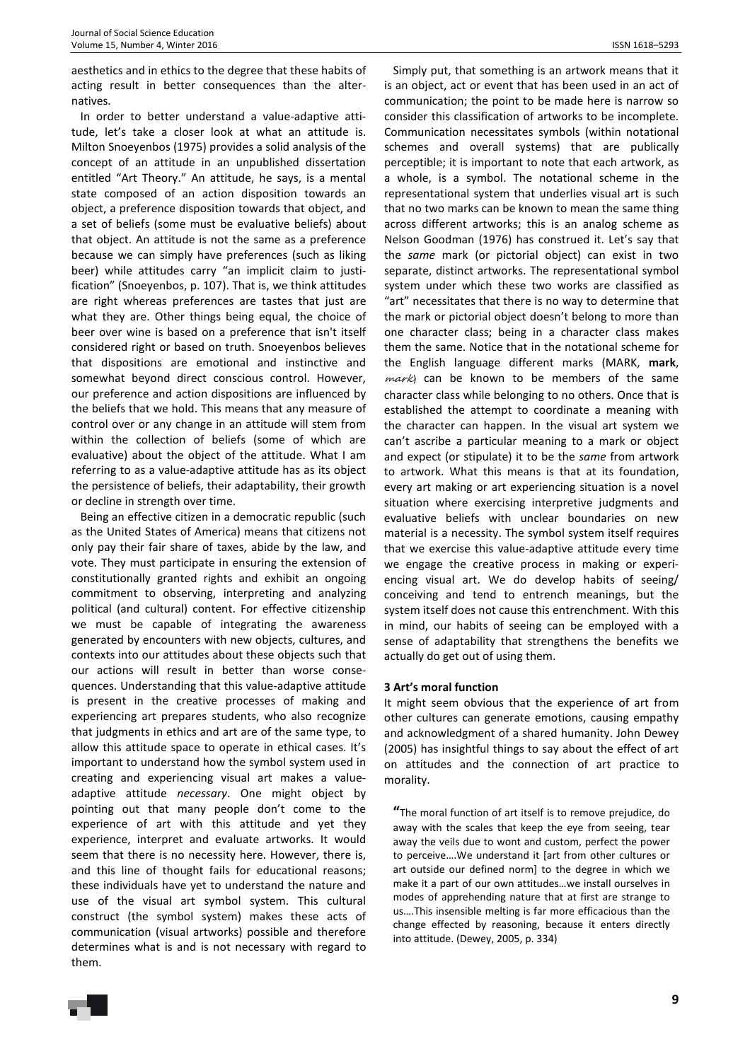aesthetics and in ethics to the degree that these habits of acting result in better consequences than the alternatives.

In order to better understand a value-adaptive attitude, let's take a closer look at what an attitude is. Milton Snoeyenbos (1975) provides a solid analysis of the concept of an attitude in an unpublished dissertation entitled "Art Theory." An attitude, he says, is a mental state composed of an action disposition towards an object, a preference disposition towards that object, and a set of beliefs (some must be evaluative beliefs) about that object. An attitude is not the same as a preference because we can simply have preferences (such as liking beer) while attitudes carry "an implicit claim to justification" (Snoeyenbos, p. 107). That is, we think attitudes are right whereas preferences are tastes that just are what they are. Other things being equal, the choice of beer over wine is based on a preference that isn't itself considered right or based on truth. Snoeyenbos believes that dispositions are emotional and instinctive and somewhat beyond direct conscious control. However, our preference and action dispositions are influenced by the beliefs that we hold. This means that any measure of control over or any change in an attitude will stem from within the collection of beliefs (some of which are evaluative) about the object of the attitude. What I am referring to as a value-adaptive attitude has as its object the persistence of beliefs, their adaptability, their growth or decline in strength over time.

Being an effective citizen in a democratic republic (such as the United States of America) means that citizens not only pay their fair share of taxes, abide by the law, and vote. They must participate in ensuring the extension of constitutionally granted rights and exhibit an ongoing commitment to observing, interpreting and analyzing political (and cultural) content. For effective citizenship we must be capable of integrating the awareness generated by encounters with new objects, cultures, and contexts into our attitudes about these objects such that our actions will result in better than worse consequences. Understanding that this value-adaptive attitude is present in the creative processes of making and experiencing art prepares students, who also recognize that judgments in ethics and art are of the same type, to allow this attitude space to operate in ethical cases. It's important to understand how the symbol system used in creating and experiencing visual art makes a valueadaptive attitude *necessary*. One might object by pointing out that many people don't come to the experience of art with this attitude and yet they experience, interpret and evaluate artworks. It would seem that there is no necessity here. However, there is, and this line of thought fails for educational reasons; these individuals have yet to understand the nature and use of the visual art symbol system. This cultural construct (the symbol system) makes these acts of communication (visual artworks) possible and therefore determines what is and is not necessary with regard to them.

Simply put, that something is an artwork means that it is an object, act or event that has been used in an act of communication; the point to be made here is narrow so consider this classification of artworks to be incomplete. Communication necessitates symbols (within notational schemes and overall systems) that are publically perceptible; it is important to note that each artwork, as a whole, is a symbol. The notational scheme in the representational system that underlies visual art is such that no two marks can be known to mean the same thing across different artworks; this is an analog scheme as Nelson Goodman (1976) has construed it. Let's say that the *same* mark (or pictorial object) can exist in two separate, distinct artworks. The representational symbol system under which these two works are classified as "art" necessitates that there is no way to determine that the mark or pictorial object doesn't belong to more than one character class; being in a character class makes them the same. Notice that in the notational scheme for the English language different marks (MARK, **mark**,  $mark$ ) can be known to be members of the same character class while belonging to no others. Once that is established the attempt to coordinate a meaning with the character can happen. In the visual art system we can't ascribe a particular meaning to a mark or object and expect (or stipulate) it to be the *same* from artwork to artwork. What this means is that at its foundation, every art making or art experiencing situation is a novel situation where exercising interpretive judgments and evaluative beliefs with unclear boundaries on new material is a necessity. The symbol system itself requires that we exercise this value-adaptive attitude every time we engage the creative process in making or experiencing visual art. We do develop habits of seeing/ conceiving and tend to entrench meanings, but the system itself does not cause this entrenchment. With this in mind, our habits of seeing can be employed with a sense of adaptability that strengthens the benefits we actually do get out of using them.

## **3 Art's moral function**

It might seem obvious that the experience of art from other cultures can generate emotions, causing empathy and acknowledgment of a shared humanity. John Dewey (2005) has insightful things to say about the effect of art on attitudes and the connection of art practice to morality.

**"**The moral function of art itself is to remove prejudice, do away with the scales that keep the eye from seeing, tear away the veils due to wont and custom, perfect the power to perceive….We understand it [art from other cultures or art outside our defined norm] to the degree in which we make it a part of our own attitudes…we install ourselves in modes of apprehending nature that at first are strange to us….This insensible melting is far more efficacious than the change effected by reasoning, because it enters directly into attitude. (Dewey, 2005, p. 334)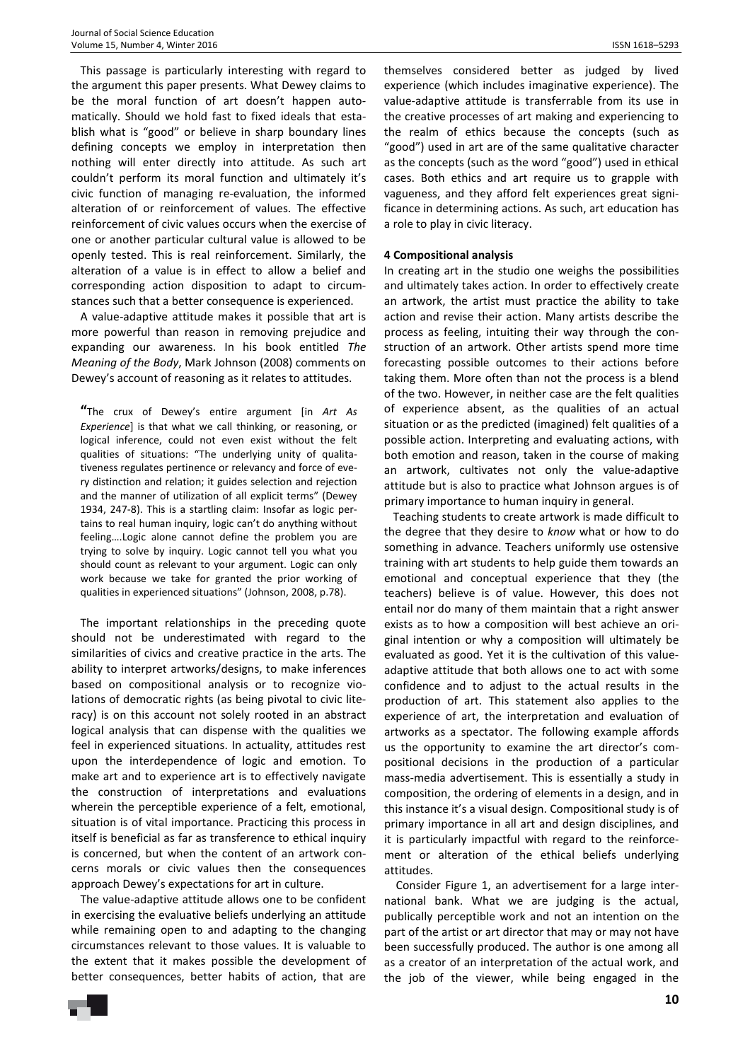This passage is particularly interesting with regard to the argument this paper presents. What Dewey claims to be the moral function of art doesn't happen automatically. Should we hold fast to fixed ideals that establish what is "good" or believe in sharp boundary lines defining concepts we employ in interpretation then nothing will enter directly into attitude. As such art couldn't perform its moral function and ultimately it's civic function of managing re-evaluation, the informed alteration of or reinforcement of values. The effective reinforcement of civic values occurs when the exercise of one or another particular cultural value is allowed to be openly tested. This is real reinforcement. Similarly, the alteration of a value is in effect to allow a belief and corresponding action disposition to adapt to circumstances such that a better consequence is experienced.

A value-adaptive attitude makes it possible that art is more powerful than reason in removing prejudice and expanding our awareness. In his book entitled *The Meaning of the Body*, Mark Johnson (2008) comments on Dewey's account of reasoning as it relates to attitudes.

**"**The crux of Dewey's entire argument [in *Art As Experience*] is that what we call thinking, or reasoning, or logical inference, could not even exist without the felt qualities of situations: "The underlying unity of qualitativeness regulates pertinence or relevancy and force of every distinction and relation; it guides selection and rejection and the manner of utilization of all explicit terms" (Dewey 1934, 247-8). This is a startling claim: Insofar as logic pertains to real human inquiry, logic can't do anything without feeling….Logic alone cannot define the problem you are trying to solve by inquiry. Logic cannot tell you what you should count as relevant to your argument. Logic can only work because we take for granted the prior working of qualities in experienced situations" (Johnson, 2008, p.78).

The important relationships in the preceding quote should not be underestimated with regard to the similarities of civics and creative practice in the arts. The ability to interpret artworks/designs, to make inferences based on compositional analysis or to recognize violations of democratic rights (as being pivotal to civic literacy) is on this account not solely rooted in an abstract logical analysis that can dispense with the qualities we feel in experienced situations. In actuality, attitudes rest upon the interdependence of logic and emotion. To make art and to experience art is to effectively navigate the construction of interpretations and evaluations wherein the perceptible experience of a felt, emotional, situation is of vital importance. Practicing this process in itself is beneficial as far as transference to ethical inquiry is concerned, but when the content of an artwork concerns morals or civic values then the consequences approach Dewey's expectations for art in culture.

The value-adaptive attitude allows one to be confident in exercising the evaluative beliefs underlying an attitude while remaining open to and adapting to the changing circumstances relevant to those values. It is valuable to the extent that it makes possible the development of better consequences, better habits of action, that are

themselves considered better as judged by lived experience (which includes imaginative experience). The value-adaptive attitude is transferrable from its use in the creative processes of art making and experiencing to the realm of ethics because the concepts (such as "good") used in art are of the same qualitative character as the concepts (such as the word "good") used in ethical cases. Both ethics and art require us to grapple with vagueness, and they afford felt experiences great significance in determining actions. As such, art education has a role to play in civic literacy.

## **4 Compositional analysis**

In creating art in the studio one weighs the possibilities and ultimately takes action. In order to effectively create an artwork, the artist must practice the ability to take action and revise their action. Many artists describe the process as feeling, intuiting their way through the construction of an artwork. Other artists spend more time forecasting possible outcomes to their actions before taking them. More often than not the process is a blend of the two. However, in neither case are the felt qualities of experience absent, as the qualities of an actual situation or as the predicted (imagined) felt qualities of a possible action. Interpreting and evaluating actions, with both emotion and reason, taken in the course of making an artwork, cultivates not only the value-adaptive attitude but is also to practice what Johnson argues is of primary importance to human inquiry in general.

Teaching students to create artwork is made difficult to the degree that they desire to *know* what or how to do something in advance. Teachers uniformly use ostensive training with art students to help guide them towards an emotional and conceptual experience that they (the teachers) believe is of value. However, this does not entail nor do many of them maintain that a right answer exists as to how a composition will best achieve an original intention or why a composition will ultimately be evaluated as good. Yet it is the cultivation of this valueadaptive attitude that both allows one to act with some confidence and to adjust to the actual results in the production of art. This statement also applies to the experience of art, the interpretation and evaluation of artworks as a spectator. The following example affords us the opportunity to examine the art director's compositional decisions in the production of a particular mass-media advertisement. This is essentially a study in composition, the ordering of elements in a design, and in this instance it's a visual design. Compositional study is of primary importance in all art and design disciplines, and it is particularly impactful with regard to the reinforcement or alteration of the ethical beliefs underlying attitudes.

Consider Figure 1, an advertisement for a large international bank. What we are judging is the actual, publically perceptible work and not an intention on the part of the artist or art director that may or may not have been successfully produced. The author is one among all as a creator of an interpretation of the actual work, and the job of the viewer, while being engaged in the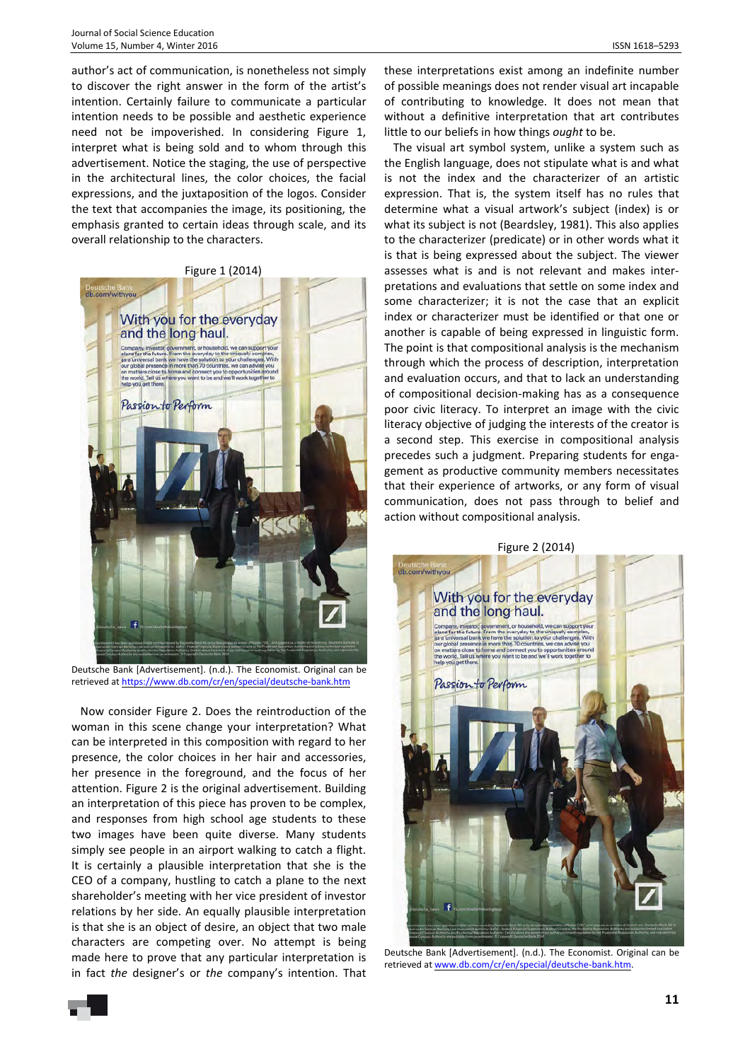author's act of communication, is nonetheless not simply to discover the right answer in the form of the artist's intention. Certainly failure to communicate a particular intention needs to be possible and aesthetic experience need not be impoverished. In considering Figure 1, interpret what is being sold and to whom through this advertisement. Notice the staging, the use of perspective in the architectural lines, the color choices, the facial expressions, and the juxtaposition of the logos. Consider the text that accompanies the image, its positioning, the emphasis granted to certain ideas through scale, and its overall relationship to the characters.





Deutsche Bank [Advertisement]. (n.d.). The Economist. Original can be retrieved at https://www.db.com/cr/en/special/deutsche-bank.htm

Now consider Figure 2. Does the reintroduction of the woman in this scene change your interpretation? What can be interpreted in this composition with regard to her presence, the color choices in her hair and accessories, her presence in the foreground, and the focus of her attention. Figure 2 is the original advertisement. Building an interpretation of this piece has proven to be complex, and responses from high school age students to these two images have been quite diverse. Many students simply see people in an airport walking to catch a flight. It is certainly a plausible interpretation that she is the CEO of a company, hustling to catch a plane to the next shareholder's meeting with her vice president of investor relations by her side. An equally plausible interpretation is that she is an object of desire, an object that two male characters are competing over. No attempt is being made here to prove that any particular interpretation is in fact *the* designer's or *the* company's intention. That

these interpretations exist among an indefinite number of possible meanings does not render visual art incapable of contributing to knowledge. It does not mean that without a definitive interpretation that art contributes little to our beliefs in how things *ought* to be.

The visual art symbol system, unlike a system such as the English language, does not stipulate what is and what is not the index and the characterizer of an artistic expression. That is, the system itself has no rules that determine what a visual artwork's subject (index) is or what its subject is not (Beardsley, 1981). This also applies to the characterizer (predicate) or in other words what it is that is being expressed about the subject. The viewer assesses what is and is not relevant and makes interpretations and evaluations that settle on some index and some characterizer; it is not the case that an explicit index or characterizer must be identified or that one or another is capable of being expressed in linguistic form. The point is that compositional analysis is the mechanism through which the process of description, interpretation and evaluation occurs, and that to lack an understanding of compositional decision-making has as a consequence poor civic literacy. To interpret an image with the civic literacy objective of judging the interests of the creator is a second step. This exercise in compositional analysis precedes such a judgment. Preparing students for engagement as productive community members necessitates that their experience of artworks, or any form of visual communication, does not pass through to belief and action without compositional analysis.



Deutsche Bank [Advertisement]. (n.d.). The Economist. Original can be retrieved at www.db.com/cr/en/special/deutsche-bank.htm.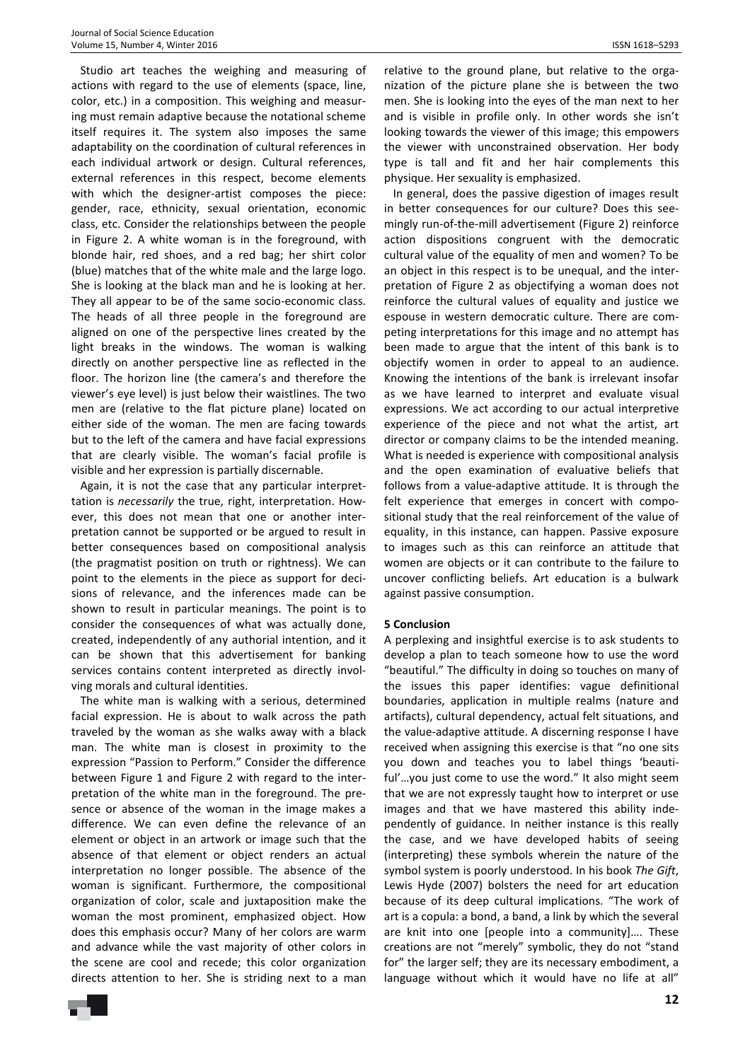Studio art teaches the weighing and measuring of actions with regard to the use of elements (space, line, color, etc.) in a composition. This weighing and measuring must remain adaptive because the notational scheme itself requires it. The system also imposes the same adaptability on the coordination of cultural references in each individual artwork or design. Cultural references, external references in this respect, become elements with which the designer-artist composes the piece: gender, race, ethnicity, sexual orientation, economic class, etc. Consider the relationships between the people in Figure 2. A white woman is in the foreground, with blonde hair, red shoes, and a red bag; her shirt color (blue) matches that of the white male and the large logo. She is looking at the black man and he is looking at her. They all appear to be of the same socio-economic class. The heads of all three people in the foreground are aligned on one of the perspective lines created by the light breaks in the windows. The woman is walking directly on another perspective line as reflected in the floor. The horizon line (the camera's and therefore the viewer's eye level) is just below their waistlines. The two men are (relative to the flat picture plane) located on either side of the woman. The men are facing towards but to the left of the camera and have facial expressions that are clearly visible. The woman's facial profile is visible and her expression is partially discernable.

Again, it is not the case that any particular interprettation is *necessarily* the true, right, interpretation. However, this does not mean that one or another interpretation cannot be supported or be argued to result in better consequences based on compositional analysis (the pragmatist position on truth or rightness). We can point to the elements in the piece as support for decisions of relevance, and the inferences made can be shown to result in particular meanings. The point is to consider the consequences of what was actually done, created, independently of any authorial intention, and it can be shown that this advertisement for banking services contains content interpreted as directly involving morals and cultural identities.

The white man is walking with a serious, determined facial expression. He is about to walk across the path traveled by the woman as she walks away with a black man. The white man is closest in proximity to the expression "Passion to Perform." Consider the difference between Figure 1 and Figure 2 with regard to the interpretation of the white man in the foreground. The presence or absence of the woman in the image makes a difference. We can even define the relevance of an element or object in an artwork or image such that the absence of that element or object renders an actual interpretation no longer possible. The absence of the woman is significant. Furthermore, the compositional organization of color, scale and juxtaposition make the woman the most prominent, emphasized object. How does this emphasis occur? Many of her colors are warm and advance while the vast majority of other colors in the scene are cool and recede; this color organization directs attention to her. She is striding next to a man

relative to the ground plane, but relative to the organization of the picture plane she is between the two men. She is looking into the eyes of the man next to her and is visible in profile only. In other words she isn't looking towards the viewer of this image; this empowers the viewer with unconstrained observation. Her body type is tall and fit and her hair complements this physique. Her sexuality is emphasized.

In general, does the passive digestion of images result in better consequences for our culture? Does this seemingly run-of-the-mill advertisement (Figure 2) reinforce action dispositions congruent with the democratic cultural value of the equality of men and women? To be an object in this respect is to be unequal, and the interpretation of Figure 2 as objectifying a woman does not reinforce the cultural values of equality and justice we espouse in western democratic culture. There are competing interpretations for this image and no attempt has been made to argue that the intent of this bank is to objectify women in order to appeal to an audience. Knowing the intentions of the bank is irrelevant insofar as we have learned to interpret and evaluate visual expressions. We act according to our actual interpretive experience of the piece and not what the artist, art director or company claims to be the intended meaning. What is needed is experience with compositional analysis and the open examination of evaluative beliefs that follows from a value-adaptive attitude. It is through the felt experience that emerges in concert with compositional study that the real reinforcement of the value of equality, in this instance, can happen. Passive exposure to images such as this can reinforce an attitude that women are objects or it can contribute to the failure to uncover conflicting beliefs. Art education is a bulwark against passive consumption.

## **5 Conclusion**

A perplexing and insightful exercise is to ask students to develop a plan to teach someone how to use the word "beautiful." The difficulty in doing so touches on many of the issues this paper identifies: vague definitional boundaries, application in multiple realms (nature and artifacts), cultural dependency, actual felt situations, and the value-adaptive attitude. A discerning response I have received when assigning this exercise is that "no one sits you down and teaches you to label things 'beautiful'…you just come to use the word." It also might seem that we are not expressly taught how to interpret or use images and that we have mastered this ability independently of guidance. In neither instance is this really the case, and we have developed habits of seeing (interpreting) these symbols wherein the nature of the symbol system is poorly understood. In his book *The Gift*, Lewis Hyde (2007) bolsters the need for art education because of its deep cultural implications. "The work of art is a copula: a bond, a band, a link by which the several are knit into one [people into a community]…. These creations are not "merely" symbolic, they do not "stand for" the larger self; they are its necessary embodiment, a language without which it would have no life at all"